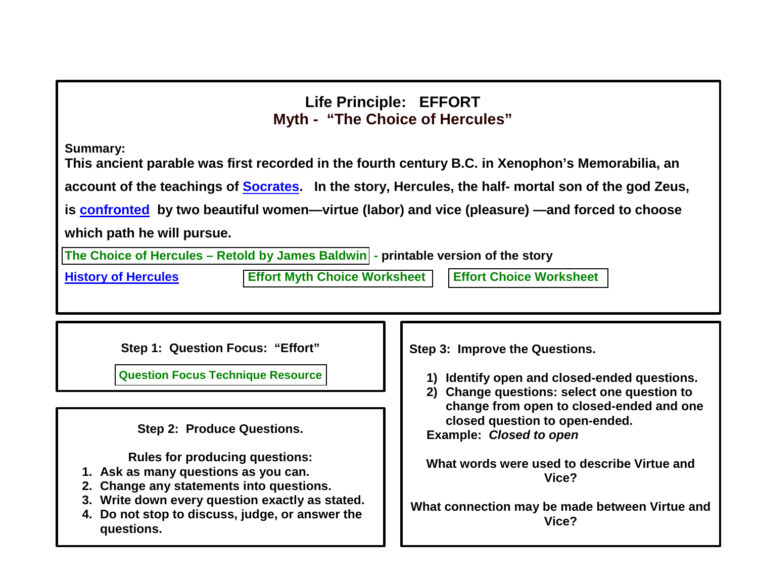## **Life Principle: EFFORT Myth - "The Choice of Hercules"**

**Summary:**

**This ancient parable was first recorded in the fourth century B.C. in Xenophon's Memorabilia, an account of the teachings of [Socrates.](http://www.biography.com/people/socrates-9488126) In the story, Hercules, the half- mortal son of the god Zeus, is [confronted](http://www.merriam-webster.com/dictionary/confronted) by two beautiful women—virtue (labor) and vice (pleasure) —and forced to choose which path he will pursue.**

**The Choice of Hercules – [Retold by James Baldwin](/Websites/greatexpectations/images/pdf/lp/effort/The%20Choice%20of%20Hercules.pdf) - printable version of the story**

**[History of Hercules](http://www.history.com/topics/ancient-history/hercules) Effort Myth [Choice Worksheet](/Websites/greatexpectations/images/pdf/lp/effort/Effort%20%20Myth%20Choice%20Worksheet.pdf) Effort [Choice Worksheet](/Websites/greatexpectations/images/pdf/lp/effort/Life%20Principle%20Choice%20Worksheet.pdf)**

**Step 1: Question Focus: "Effort"**

**[Question Focus Technique Resource](http://www.greatexpectations.org/the-question-formulation-technique)** 

**Step 2: Produce Questions.**

**Rules for producing questions:**

- **1. Ask as many questions as you can.**
- **2. Change any statements into questions.**
- **3. Write down every question exactly as stated.**
- **4. Do not stop to discuss, judge, or answer the questions.**

**Step 3: Improve the Questions.**

- **1) Identify open and closed-ended questions.**
- **2) Change questions: select one question to change from open to closed-ended and one closed question to open-ended.**

**Example:** *Closed to open*

**What words were used to describe Virtue and Vice?**

**What connection may be made between Virtue and Vice?**